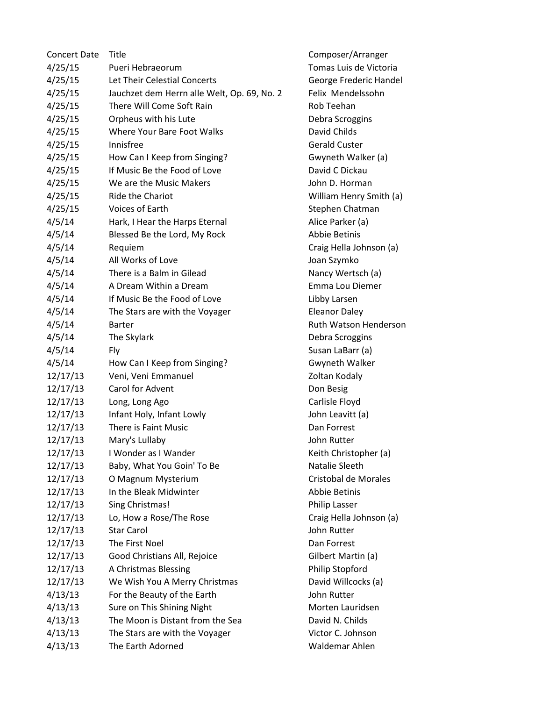| <b>Concert Date</b> | Title                                       |
|---------------------|---------------------------------------------|
| 4/25/15             | Pueri Hebraeorum                            |
| 4/25/15             | Let Their Celestial Concerts                |
| 4/25/15             | Jauchzet dem Herrn alle Welt, Op. 69, No. 2 |
| 4/25/15             | There Will Come Soft Rain                   |
| 4/25/15             | Orpheus with his Lute                       |
| 4/25/15             | Where Your Bare Foot Walks                  |
| 4/25/15             | Innisfree                                   |
| 4/25/15             | How Can I Keep from Singing?                |
| 4/25/15             | If Music Be the Food of Love                |
| 4/25/15             | We are the Music Makers                     |
| 4/25/15             | <b>Ride the Chariot</b>                     |
| 4/25/15             | Voices of Earth                             |
| 4/5/14              | Hark, I Hear the Harps Eternal              |
| 4/5/14              | Blessed Be the Lord, My Rock                |
| 4/5/14              | Requiem                                     |
| 4/5/14              | All Works of Love                           |
| 4/5/14              | There is a Balm in Gilead                   |
| 4/5/14              | A Dream Within a Dream                      |
| 4/5/14              | If Music Be the Food of Love                |
| 4/5/14              | The Stars are with the Voyager              |
| 4/5/14              | <b>Barter</b>                               |
| 4/5/14              | The Skylark                                 |
| 4/5/14              | Fly                                         |
| 4/5/14              | How Can I Keep from Singing?                |
| 12/17/13            | Veni, Veni Emmanuel                         |
| 12/17/13            | <b>Carol for Advent</b>                     |
| 12/17/13            | Long, Long Ago                              |
| 12/17/13            | Infant Holy, Infant Lowly                   |
| 12/17/13            | There is Faint Music                        |
| 12/17/13            | Mary's Lullaby                              |
| 12/17/13            | I Wonder as I Wander                        |
| 12/17/13            | Baby, What You Goin' To Be                  |
| 12/17/13            | O Magnum Mysterium                          |
| 12/17/13            | In the Bleak Midwinter                      |
| 12/17/13            | Sing Christmas!                             |
| 12/17/13            | Lo, How a Rose/The Rose                     |
| 12/17/13            | <b>Star Carol</b>                           |
| 12/17/13            | The First Noel                              |
| 12/17/13            | Good Christians All, Rejoice                |
| 12/17/13            | A Christmas Blessing                        |
| 12/17/13            | We Wish You A Merry Christmas               |
| 4/13/13             | For the Beauty of the Earth                 |
| 4/13/13             | Sure on This Shining Night                  |
| 4/13/13             | The Moon is Distant from the Sea            |
| 4/13/13             | The Stars are with the Voyager              |
| 4/13/13             | The Earth Adorned                           |

Composer/Arranger Tomas Luis de Victoria George Frederic Handel Felix Mendelssohn Rob Teehan Debra Scroggins David Childs Gerald Custer Gwyneth Walker (a) David C Dickau John D. Horman William Henry Smith (a) Stephen Chatman Alice Parker (a) Abbie Betinis Craig Hella Johnson (a) Joan Szymko Nancy Wertsch (a) Emma Lou Diemer Libby Larsen Eleanor Daley Ruth Watson Henderson Debra Scroggins Susan LaBarr (a) Gwyneth Walker Zoltan Kodaly Don Besig Carlisle Floyd John Leavitt (a) Dan Forrest John Rutter Keith Christopher (a) Natalie Sleeth Cristobal de Morales Abbie Betinis Philip Lasser Craig Hella Johnson (a) John Rutter Dan Forrest Gilbert Martin (a) Philip Stopford David Willcocks (a) John Rutter Morten Lauridsen David N. Childs Victor C. Johnson Waldemar Ahlen